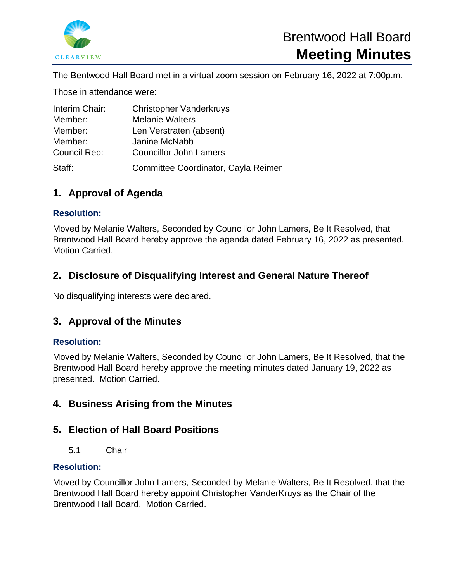

The Bentwood Hall Board met in a virtual zoom session on February 16, 2022 at 7:00p.m.

Those in attendance were:

| Interim Chair: | <b>Christopher Vanderkruys</b>      |
|----------------|-------------------------------------|
| Member:        | <b>Melanie Walters</b>              |
| Member:        | Len Verstraten (absent)             |
| Member:        | Janine McNabb                       |
| Council Rep:   | <b>Councillor John Lamers</b>       |
| Staff:         | Committee Coordinator, Cayla Reimer |

## **1. Approval of Agenda**

#### **Resolution:**

Moved by Melanie Walters, Seconded by Councillor John Lamers, Be It Resolved, that Brentwood Hall Board hereby approve the agenda dated February 16, 2022 as presented. Motion Carried.

### **2. Disclosure of Disqualifying Interest and General Nature Thereof**

No disqualifying interests were declared.

### **3. Approval of the Minutes**

#### **Resolution:**

Moved by Melanie Walters, Seconded by Councillor John Lamers, Be It Resolved, that the Brentwood Hall Board hereby approve the meeting minutes dated January 19, 2022 as presented. Motion Carried.

### **4. Business Arising from the Minutes**

### **5. Election of Hall Board Positions**

5.1 Chair

#### **Resolution:**

Moved by Councillor John Lamers, Seconded by Melanie Walters, Be It Resolved, that the Brentwood Hall Board hereby appoint Christopher VanderKruys as the Chair of the Brentwood Hall Board. Motion Carried.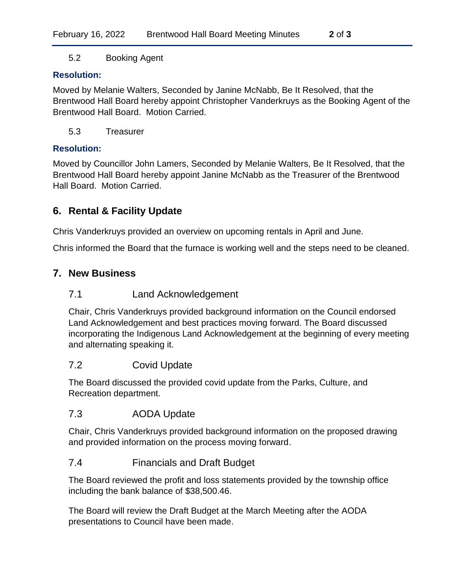5.2 Booking Agent

#### **Resolution:**

Moved by Melanie Walters, Seconded by Janine McNabb, Be It Resolved, that the Brentwood Hall Board hereby appoint Christopher Vanderkruys as the Booking Agent of the Brentwood Hall Board. Motion Carried.

5.3 Treasurer

#### **Resolution:**

Moved by Councillor John Lamers, Seconded by Melanie Walters, Be It Resolved, that the Brentwood Hall Board hereby appoint Janine McNabb as the Treasurer of the Brentwood Hall Board. Motion Carried.

### **6. Rental & Facility Update**

Chris Vanderkruys provided an overview on upcoming rentals in April and June.

Chris informed the Board that the furnace is working well and the steps need to be cleaned.

### **7. New Business**

### 7.1 Land Acknowledgement

Chair, Chris Vanderkruys provided background information on the Council endorsed Land Acknowledgement and best practices moving forward. The Board discussed incorporating the Indigenous Land Acknowledgement at the beginning of every meeting and alternating speaking it.

### 7.2 Covid Update

The Board discussed the provided covid update from the Parks, Culture, and Recreation department.

### 7.3 AODA Update

Chair, Chris Vanderkruys provided background information on the proposed drawing and provided information on the process moving forward.

### 7.4 Financials and Draft Budget

The Board reviewed the profit and loss statements provided by the township office including the bank balance of \$38,500.46.

The Board will review the Draft Budget at the March Meeting after the AODA presentations to Council have been made.